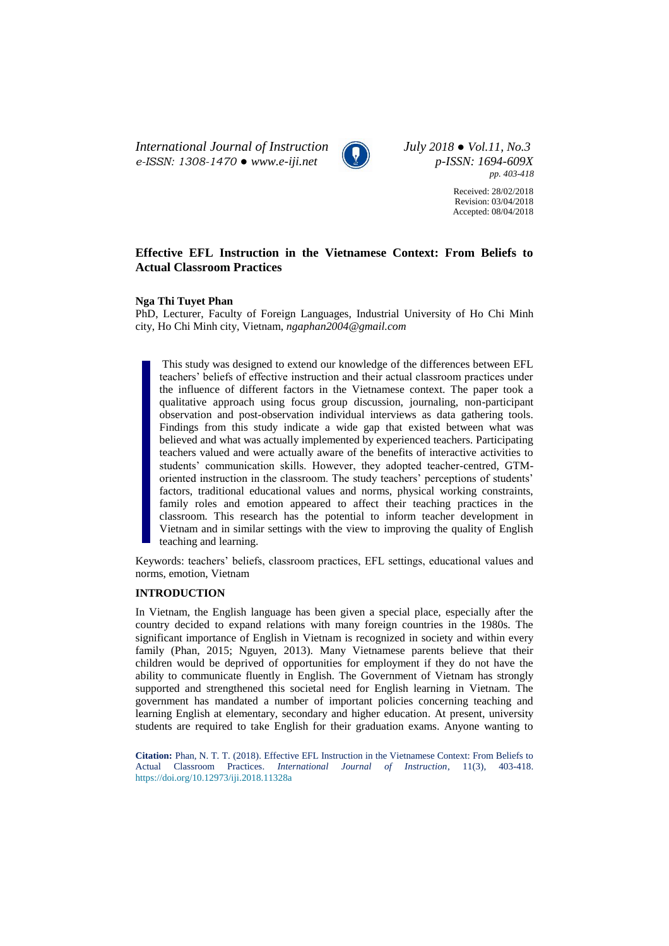*International Journal of Instruction July 2018 ● Vol.11, No.3 e-ISSN: 1308-1470 ● [www.e-iji.net](http://www.e-iji.net/) p-ISSN: 1694-609X*



*pp. 403-418*

Received: 28/02/2018 Revision: 03/04/2018 Accepted: 08/04/2018

# **Effective EFL Instruction in the Vietnamese Context: From Beliefs to Actual Classroom Practices**

**Nga Thi Tuyet Phan**

PhD, Lecturer, Faculty of Foreign Languages, Industrial University of Ho Chi Minh city, Ho Chi Minh city, Vietnam, *ngaphan2004@gmail.com*

This study was designed to extend our knowledge of the differences between EFL teachers' beliefs of effective instruction and their actual classroom practices under the influence of different factors in the Vietnamese context. The paper took a qualitative approach using focus group discussion, journaling, non-participant observation and post-observation individual interviews as data gathering tools. Findings from this study indicate a wide gap that existed between what was believed and what was actually implemented by experienced teachers. Participating teachers valued and were actually aware of the benefits of interactive activities to students' communication skills. However, they adopted teacher-centred, GTMoriented instruction in the classroom. The study teachers' perceptions of students' factors, traditional educational values and norms, physical working constraints, family roles and emotion appeared to affect their teaching practices in the classroom. This research has the potential to inform teacher development in Vietnam and in similar settings with the view to improving the quality of English teaching and learning.

Keywords: teachers' beliefs, classroom practices, EFL settings, educational values and norms, emotion, Vietnam

## **INTRODUCTION**

In Vietnam, the English language has been given a special place, especially after the country decided to expand relations with many foreign countries in the 1980s. The significant importance of English in Vietnam is recognized in society and within every family (Phan, 2015; Nguyen, 2013). Many Vietnamese parents believe that their children would be deprived of opportunities for employment if they do not have the ability to communicate fluently in English. The Government of Vietnam has strongly supported and strengthened this societal need for English learning in Vietnam. The government has mandated a number of important policies concerning teaching and learning English at elementary, secondary and higher education. At present, university students are required to take English for their graduation exams. Anyone wanting to

**Citation:** Phan, N. T. T. (2018). Effective EFL Instruction in the Vietnamese Context: From Beliefs to Actual Classroom Practices. *International Journal of Instruction*, 11(3), 403-418. <https://doi.org/10.12973/iji.2018.11328a>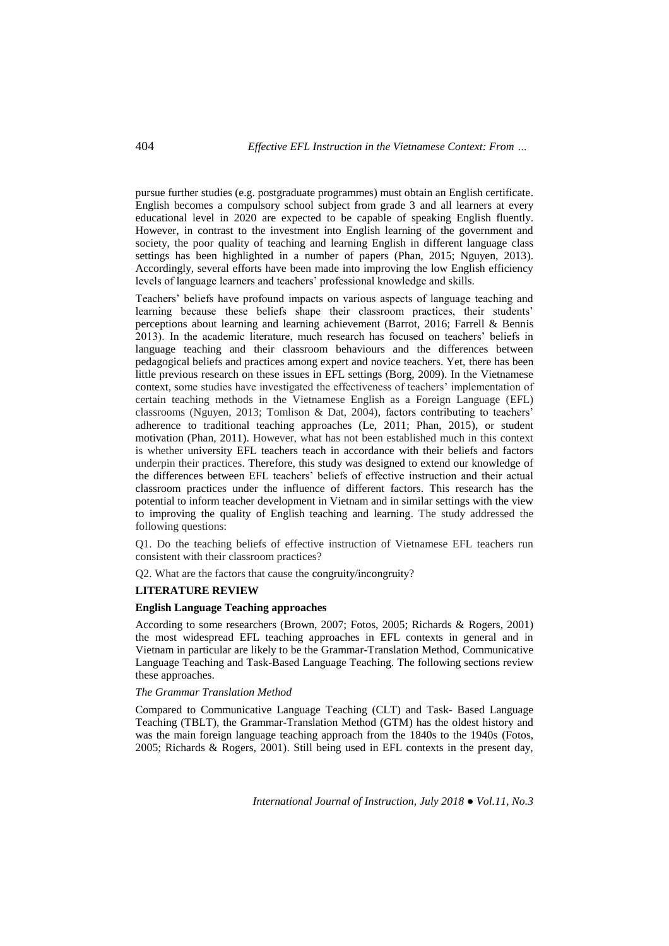pursue further studies (e.g. postgraduate programmes) must obtain an English certificate. English becomes a compulsory school subject from grade 3 and all learners at every educational level in 2020 are expected to be capable of speaking English fluently. However, in contrast to the investment into English learning of the government and society, the poor quality of teaching and learning English in different language class settings has been highlighted in a number of papers (Phan, 2015; Nguyen, 2013). Accordingly, several efforts have been made into improving the low English efficiency levels of language learners and teachers' professional knowledge and skills.

Teachers' beliefs have profound impacts on various aspects of language teaching and learning because these beliefs shape their classroom practices, their students' perceptions about learning and learning achievement (Barrot, 2016; Farrell & Bennis 2013). In the academic literature, much research has focused on teachers' beliefs in language teaching and their classroom behaviours and the differences between pedagogical beliefs and practices among expert and novice teachers. Yet, there has been little previous research on these issues in EFL settings (Borg, 2009). In the Vietnamese context, some studies have investigated the effectiveness of teachers' implementation of certain teaching methods in the Vietnamese English as a Foreign Language (EFL) classrooms (Nguyen, 2013; Tomlison & Dat, 2004), factors contributing to teachers' adherence to traditional teaching approaches (Le, 2011; Phan, 2015), or student motivation (Phan, 2011). However, what has not been established much in this context is whether university EFL teachers teach in accordance with their beliefs and factors underpin their practices. Therefore, this study was designed to extend our knowledge of the differences between EFL teachers' beliefs of effective instruction and their actual classroom practices under the influence of different factors. This research has the potential to inform teacher development in Vietnam and in similar settings with the view to improving the quality of English teaching and learning. The study addressed the following questions:

Q1. Do the teaching beliefs of effective instruction of Vietnamese EFL teachers run consistent with their classroom practices?

Q2. What are the factors that cause the congruity/incongruity?

## **LITERATURE REVIEW**

### **English Language Teaching approaches**

According to some researchers (Brown, 2007; Fotos, 2005; Richards & Rogers, 2001) the most widespread EFL teaching approaches in EFL contexts in general and in Vietnam in particular are likely to be the Grammar-Translation Method, Communicative Language Teaching and Task-Based Language Teaching. The following sections review these approaches.

## *The Grammar Translation Method*

Compared to Communicative Language Teaching (CLT) and Task- Based Language Teaching (TBLT), the Grammar-Translation Method (GTM) has the oldest history and was the main foreign language teaching approach from the 1840s to the 1940s (Fotos, 2005; Richards & Rogers, 2001). Still being used in EFL contexts in the present day,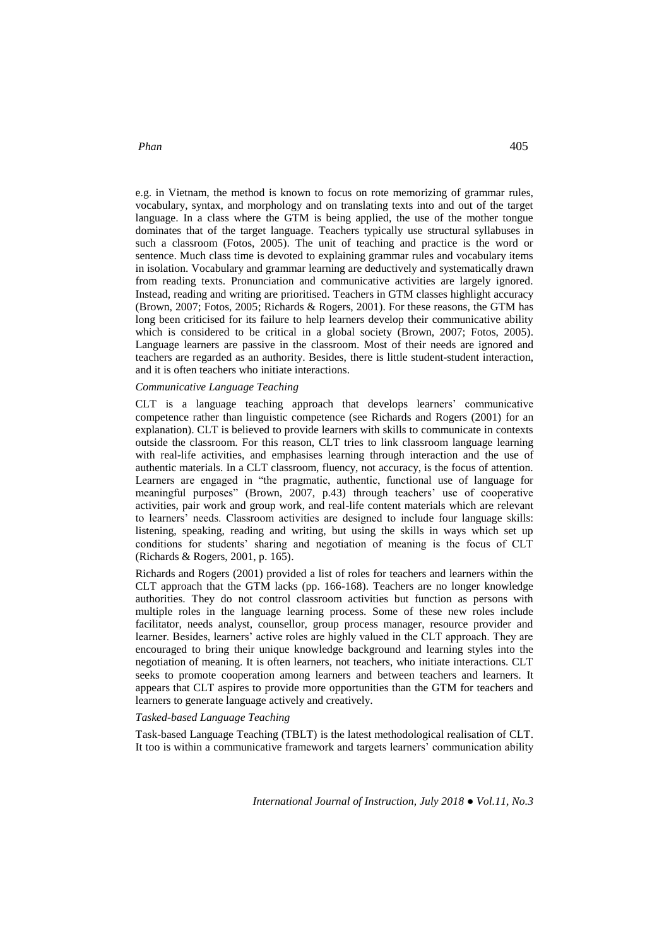e.g. in Vietnam, the method is known to focus on rote memorizing of grammar rules, vocabulary, syntax, and morphology and on translating texts into and out of the target language. In a class where the GTM is being applied, the use of the mother tongue dominates that of the target language. Teachers typically use structural syllabuses in such a classroom (Fotos, 2005). The unit of teaching and practice is the word or sentence. Much class time is devoted to explaining grammar rules and vocabulary items in isolation. Vocabulary and grammar learning are deductively and systematically drawn from reading texts. Pronunciation and communicative activities are largely ignored. Instead, reading and writing are prioritised. Teachers in GTM classes highlight accuracy (Brown, 2007; Fotos, 2005; Richards & Rogers, 2001). For these reasons, the GTM has long been criticised for its failure to help learners develop their communicative ability which is considered to be critical in a global society (Brown, 2007; Fotos, 2005). Language learners are passive in the classroom. Most of their needs are ignored and teachers are regarded as an authority. Besides, there is little student-student interaction, and it is often teachers who initiate interactions.

#### *Communicative Language Teaching*

CLT is a language teaching approach that develops learners' communicative competence rather than linguistic competence (see Richards and Rogers (2001) for an explanation). CLT is believed to provide learners with skills to communicate in contexts outside the classroom. For this reason, CLT tries to link classroom language learning with real-life activities, and emphasises learning through interaction and the use of authentic materials. In a CLT classroom, fluency, not accuracy, is the focus of attention. Learners are engaged in "the pragmatic, authentic, functional use of language for meaningful purposes" (Brown, 2007, p.43) through teachers' use of cooperative activities, pair work and group work, and real-life content materials which are relevant to learners' needs. Classroom activities are designed to include four language skills: listening, speaking, reading and writing, but using the skills in ways which set up conditions for students' sharing and negotiation of meaning is the focus of CLT (Richards & Rogers, 2001, p. 165).

Richards and Rogers (2001) provided a list of roles for teachers and learners within the CLT approach that the GTM lacks (pp. 166-168). Teachers are no longer knowledge authorities. They do not control classroom activities but function as persons with multiple roles in the language learning process. Some of these new roles include facilitator, needs analyst, counsellor, group process manager, resource provider and learner. Besides, learners' active roles are highly valued in the CLT approach. They are encouraged to bring their unique knowledge background and learning styles into the negotiation of meaning. It is often learners, not teachers, who initiate interactions. CLT seeks to promote cooperation among learners and between teachers and learners. It appears that CLT aspires to provide more opportunities than the GTM for teachers and learners to generate language actively and creatively.

#### *Tasked-based Language Teaching*

Task-based Language Teaching (TBLT) is the latest methodological realisation of CLT. It too is within a communicative framework and targets learners' communication ability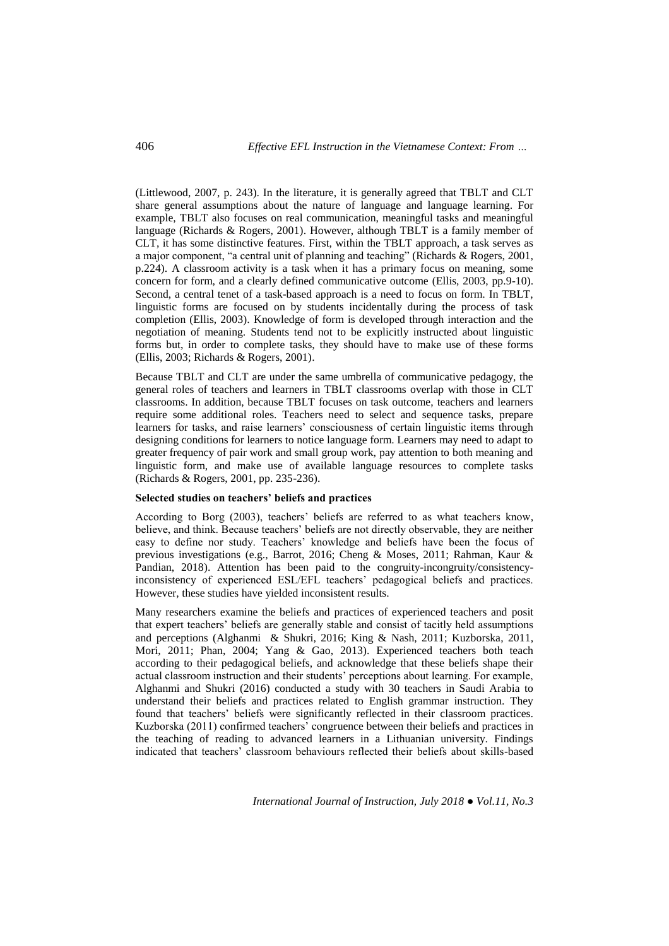(Littlewood, 2007, p. 243). In the literature, it is generally agreed that TBLT and CLT share general assumptions about the nature of language and language learning. For example, TBLT also focuses on real communication, meaningful tasks and meaningful language (Richards & Rogers, 2001). However, although TBLT is a family member of CLT, it has some distinctive features. First, within the TBLT approach, a task serves as a major component, "a central unit of planning and teaching" (Richards & Rogers, 2001, p.224). A classroom activity is a task when it has a primary focus on meaning, some concern for form, and a clearly defined communicative outcome (Ellis, 2003, pp.9-10). Second, a central tenet of a task-based approach is a need to focus on form. In TBLT, linguistic forms are focused on by students incidentally during the process of task completion (Ellis, 2003). Knowledge of form is developed through interaction and the negotiation of meaning. Students tend not to be explicitly instructed about linguistic forms but, in order to complete tasks, they should have to make use of these forms (Ellis, 2003; Richards & Rogers, 2001).

Because TBLT and CLT are under the same umbrella of communicative pedagogy, the general roles of teachers and learners in TBLT classrooms overlap with those in CLT classrooms. In addition, because TBLT focuses on task outcome, teachers and learners require some additional roles. Teachers need to select and sequence tasks, prepare learners for tasks, and raise learners' consciousness of certain linguistic items through designing conditions for learners to notice language form. Learners may need to adapt to greater frequency of pair work and small group work, pay attention to both meaning and linguistic form, and make use of available language resources to complete tasks (Richards & Rogers, 2001, pp. 235-236).

#### **Selected studies on teachers' beliefs and practices**

According to Borg (2003), teachers' beliefs are referred to as what teachers know, believe, and think. Because teachers' beliefs are not directly observable, they are neither easy to define nor study. Teachers' knowledge and beliefs have been the focus of previous investigations (e.g., Barrot, 2016; Cheng & Moses, 2011; Rahman, Kaur & Pandian, 2018). Attention has been paid to the congruity-incongruity/consistencyinconsistency of experienced ESL/EFL teachers' pedagogical beliefs and practices. However, these studies have yielded inconsistent results.

Many researchers examine the beliefs and practices of experienced teachers and posit that expert teachers' beliefs are generally stable and consist of tacitly held assumptions and perceptions (Alghanmi & Shukri, 2016; King & Nash, 2011; Kuzborska, 2011, Mori, 2011; Phan, 2004; Yang & Gao, 2013). Experienced teachers both teach according to their pedagogical beliefs, and acknowledge that these beliefs shape their actual classroom instruction and their students' perceptions about learning. For example, Alghanmi and Shukri (2016) conducted a study with 30 teachers in Saudi Arabia to understand their beliefs and practices related to English grammar instruction. They found that teachers' beliefs were significantly reflected in their classroom practices. Kuzborska (2011) confirmed teachers' congruence between their beliefs and practices in the teaching of reading to advanced learners in a Lithuanian university. Findings indicated that teachers' classroom behaviours reflected their beliefs about skills-based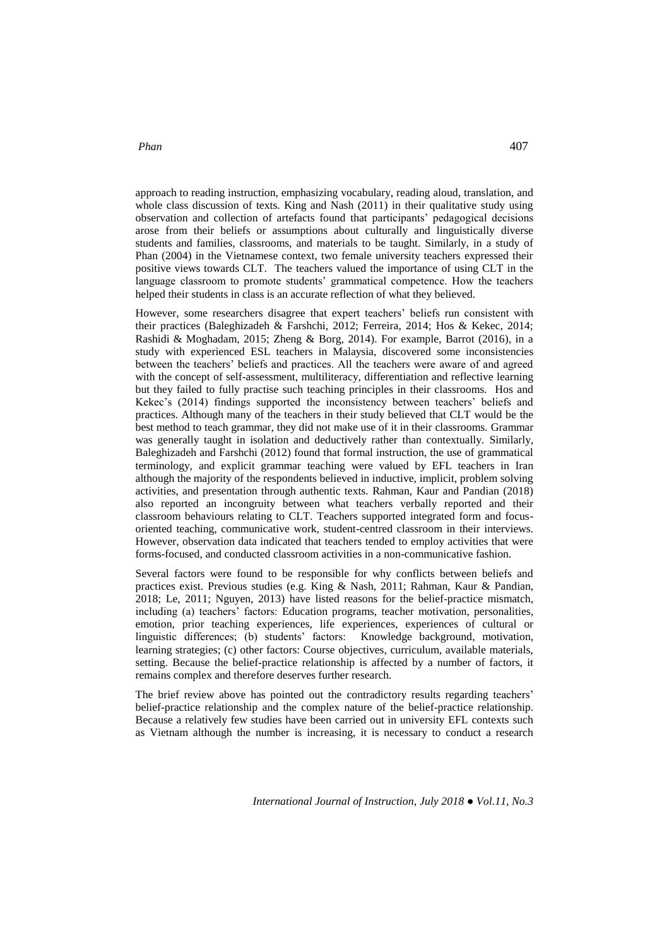approach to reading instruction, emphasizing vocabulary, reading aloud, translation, and whole class discussion of texts. King and Nash (2011) in their qualitative study using observation and collection of artefacts found that participants' pedagogical decisions arose from their beliefs or assumptions about culturally and linguistically diverse students and families, classrooms, and materials to be taught. Similarly, in a study of Phan (2004) in the Vietnamese context, two female university teachers expressed their positive views towards CLT. The teachers valued the importance of using CLT in the language classroom to promote students' grammatical competence. How the teachers helped their students in class is an accurate reflection of what they believed.

However, some researchers disagree that expert teachers' beliefs run consistent with their practices (Baleghizadeh & Farshchi, 2012; Ferreira, 2014; Hos & Kekec, 2014; Rashidi & Moghadam, 2015; Zheng & Borg, 2014). For example, Barrot (2016), in a study with experienced ESL teachers in Malaysia, discovered some inconsistencies between the teachers' beliefs and practices. All the teachers were aware of and agreed with the concept of self-assessment, multiliteracy, differentiation and reflective learning but they failed to fully practise such teaching principles in their classrooms. Hos and Kekec's (2014) findings supported the inconsistency between teachers' beliefs and practices. Although many of the teachers in their study believed that CLT would be the best method to teach grammar, they did not make use of it in their classrooms. Grammar was generally taught in isolation and deductively rather than contextually. Similarly, Baleghizadeh and Farshchi (2012) found that formal instruction, the use of grammatical terminology, and explicit grammar teaching were valued by EFL teachers in Iran although the majority of the respondents believed in inductive, implicit, problem solving activities, and presentation through authentic texts. Rahman, Kaur and Pandian (2018) also reported an incongruity between what teachers verbally reported and their classroom behaviours relating to CLT. Teachers supported integrated form and focusoriented teaching, communicative work, student-centred classroom in their interviews. However, observation data indicated that teachers tended to employ activities that were forms-focused, and conducted classroom activities in a non-communicative fashion.

Several factors were found to be responsible for why conflicts between beliefs and practices exist. Previous studies (e.g. King & Nash, 2011; Rahman, Kaur & Pandian, 2018; Le, 2011; Nguyen, 2013) have listed reasons for the belief-practice mismatch, including (a) teachers' factors: Education programs, teacher motivation, personalities, emotion, prior teaching experiences, life experiences, experiences of cultural or linguistic differences; (b) students' factors: Knowledge background, motivation, learning strategies; (c) other factors: Course objectives, curriculum, available materials, setting. Because the belief-practice relationship is affected by a number of factors, it remains complex and therefore deserves further research.

The brief review above has pointed out the contradictory results regarding teachers' belief-practice relationship and the complex nature of the belief-practice relationship. Because a relatively few studies have been carried out in university EFL contexts such as Vietnam although the number is increasing, it is necessary to conduct a research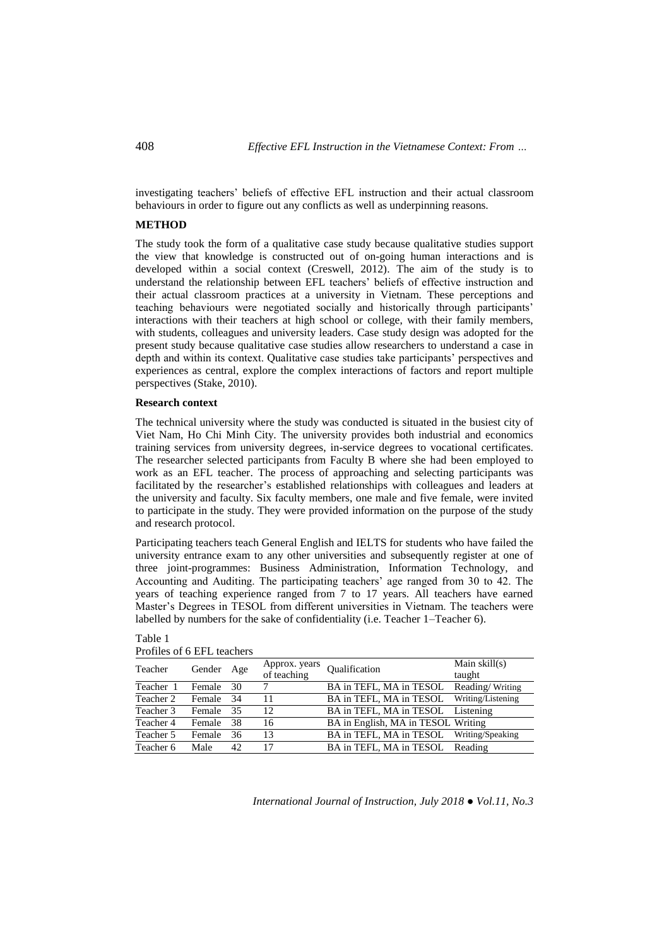investigating teachers' beliefs of effective EFL instruction and their actual classroom behaviours in order to figure out any conflicts as well as underpinning reasons.

### **METHOD**

The study took the form of a qualitative case study because qualitative studies support the view that knowledge is constructed out of on-going human interactions and is developed within a social context (Creswell, 2012). The aim of the study is to understand the relationship between EFL teachers' beliefs of effective instruction and their actual classroom practices at a university in Vietnam. These perceptions and teaching behaviours were negotiated socially and historically through participants' interactions with their teachers at high school or college, with their family members, with students, colleagues and university leaders. Case study design was adopted for the present study because qualitative case studies allow researchers to understand a case in depth and within its context. Qualitative case studies take participants' perspectives and experiences as central, explore the complex interactions of factors and report multiple perspectives (Stake, 2010).

#### **Research context**

The technical university where the study was conducted is situated in the busiest city of Viet Nam, Ho Chi Minh City. The university provides both industrial and economics training services from university degrees, in-service degrees to vocational certificates. The researcher selected participants from Faculty B where she had been employed to work as an EFL teacher. The process of approaching and selecting participants was facilitated by the researcher's established relationships with colleagues and leaders at the university and faculty. Six faculty members, one male and five female, were invited to participate in the study. They were provided information on the purpose of the study and research protocol.

Participating teachers teach General English and IELTS for students who have failed the university entrance exam to any other universities and subsequently register at one of three joint-programmes: Business Administration, Information Technology, and Accounting and Auditing. The participating teachers' age ranged from 30 to 42. The years of teaching experience ranged from 7 to 17 years. All teachers have earned Master's Degrees in TESOL from different universities in Vietnam. The teachers were labelled by numbers for the sake of confidentiality (i.e. Teacher 1–Teacher 6).

| Tromos of 0 Et E teachers |            |     |                              |                                    |                            |  |  |
|---------------------------|------------|-----|------------------------------|------------------------------------|----------------------------|--|--|
| Teacher                   | Gender Age |     | Approx. years<br>of teaching | Qualification                      | Main skill $(s)$<br>taught |  |  |
| Teacher 1                 | Female     | 30  |                              | BA in TEFL, MA in TESOL            | Reading/Writing            |  |  |
| Teacher 2                 | Female     | 34  | 11                           | BA in TEFL, MA in TESOL            | Writing/Listening          |  |  |
| Teacher 3                 | Female     | -35 | 12                           | BA in TEFL, MA in TESOL Listening  |                            |  |  |
| Teacher 4                 | Female     | 38  | 16                           | BA in English, MA in TESOL Writing |                            |  |  |
| Teacher 5                 | Female     | 36  | 13                           | BA in TEFL, MA in TESOL            | Writing/Speaking           |  |  |
| Teacher 6                 | Male       | 42  | 17                           | BA in TEFL, MA in TESOL            | Reading                    |  |  |
|                           |            |     |                              |                                    |                            |  |  |

Profiles of 6 EFL teachers

Table 1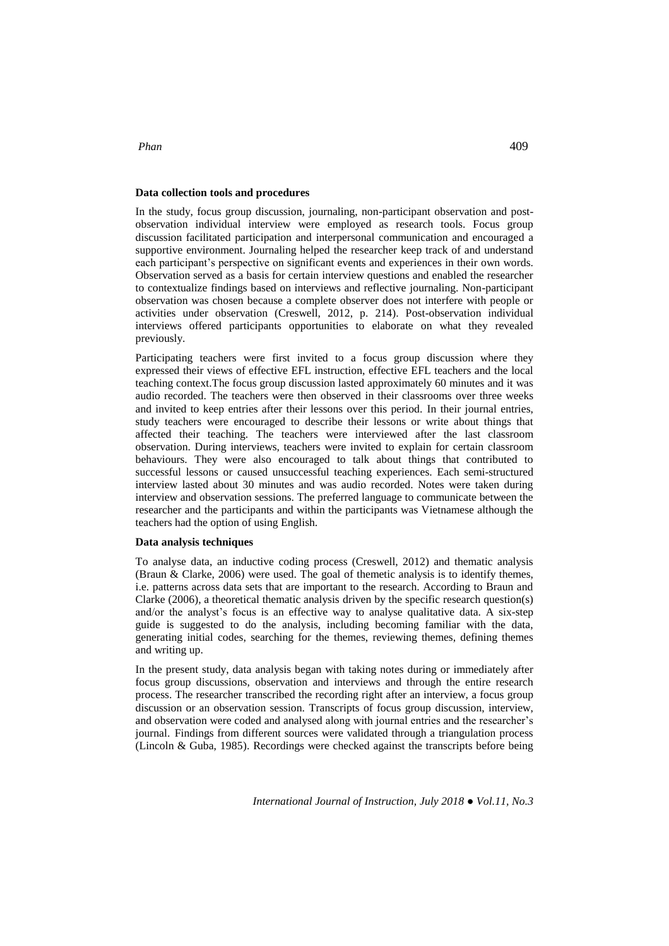## **Data collection tools and procedures**

In the study, focus group discussion, journaling, non-participant observation and postobservation individual interview were employed as research tools. Focus group discussion facilitated participation and interpersonal communication and encouraged a supportive environment. Journaling helped the researcher keep track of and understand each participant's perspective on significant events and experiences in their own words. Observation served as a basis for certain interview questions and enabled the researcher to contextualize findings based on interviews and reflective journaling. Non-participant observation was chosen because a complete observer does not interfere with people or activities under observation (Creswell, 2012, p. 214). Post-observation individual interviews offered participants opportunities to elaborate on what they revealed previously.

Participating teachers were first invited to a focus group discussion where they expressed their views of effective EFL instruction, effective EFL teachers and the local teaching context.The focus group discussion lasted approximately 60 minutes and it was audio recorded. The teachers were then observed in their classrooms over three weeks and invited to keep entries after their lessons over this period. In their journal entries, study teachers were encouraged to describe their lessons or write about things that affected their teaching. The teachers were interviewed after the last classroom observation. During interviews, teachers were invited to explain for certain classroom behaviours. They were also encouraged to talk about things that contributed to successful lessons or caused unsuccessful teaching experiences. Each semi-structured interview lasted about 30 minutes and was audio recorded. Notes were taken during interview and observation sessions. The preferred language to communicate between the researcher and the participants and within the participants was Vietnamese although the teachers had the option of using English.

### **Data analysis techniques**

To analyse data, an inductive coding process (Creswell, 2012) and thematic analysis (Braun & Clarke, 2006) were used. The goal of themetic analysis is to identify themes, i.e. patterns across data sets that are important to the research. According to Braun and Clarke (2006), a theoretical thematic analysis driven by the specific research question(s) and/or the analyst's focus is an effective way to analyse qualitative data. A six-step guide is suggested to do the analysis, including becoming familiar with the data, generating initial codes, searching for the themes, reviewing themes, defining themes and writing up.

In the present study, data analysis began with taking notes during or immediately after focus group discussions, observation and interviews and through the entire research process. The researcher transcribed the recording right after an interview, a focus group discussion or an observation session. Transcripts of focus group discussion, interview, and observation were coded and analysed along with journal entries and the researcher's journal. Findings from different sources were validated through a triangulation process (Lincoln & Guba, 1985). Recordings were checked against the transcripts before being

## *Phan* 409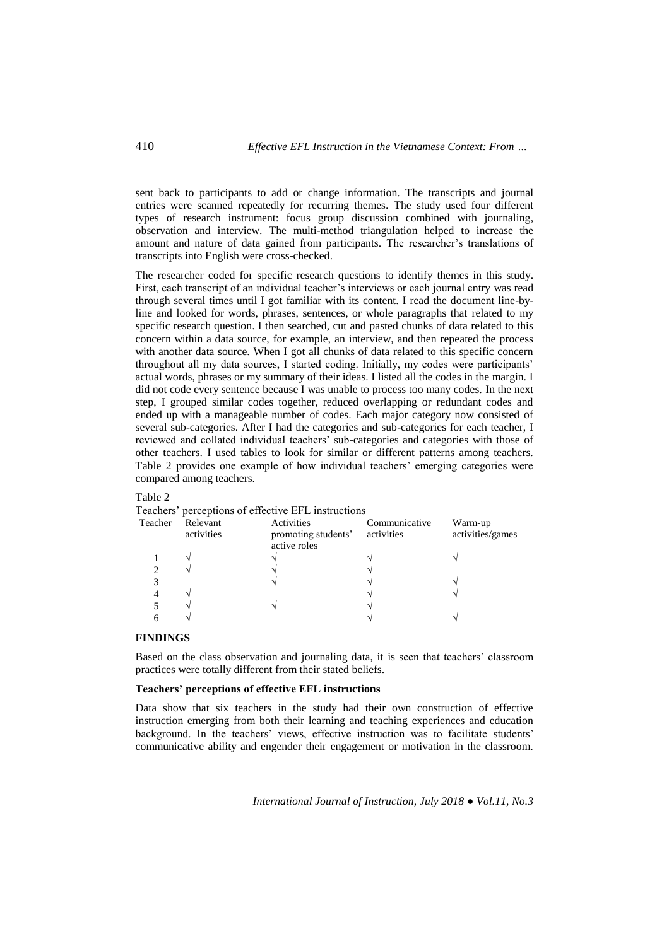sent back to participants to add or change information. The transcripts and journal entries were scanned repeatedly for recurring themes. The study used four different types of research instrument: focus group discussion combined with journaling, observation and interview. The multi-method triangulation helped to increase the amount and nature of data gained from participants. The researcher's translations of transcripts into English were cross-checked.

The researcher coded for specific research questions to identify themes in this study. First, each transcript of an individual teacher's interviews or each journal entry was read through several times until I got familiar with its content. I read the document line-byline and looked for words, phrases, sentences, or whole paragraphs that related to my specific research question. I then searched, cut and pasted chunks of data related to this concern within a data source, for example, an interview, and then repeated the process with another data source. When I got all chunks of data related to this specific concern throughout all my data sources, I started coding. Initially, my codes were participants' actual words, phrases or my summary of their ideas. I listed all the codes in the margin. I did not code every sentence because I was unable to process too many codes. In the next step, I grouped similar codes together, reduced overlapping or redundant codes and ended up with a manageable number of codes. Each major category now consisted of several sub-categories. After I had the categories and sub-categories for each teacher, I reviewed and collated individual teachers' sub-categories and categories with those of other teachers. I used tables to look for similar or different patterns among teachers. Table 2 provides one example of how individual teachers' emerging categories were compared among teachers.

| Teachers' perceptions of effective EFL instructions |                        |                                                   |                             |                             |  |  |  |  |  |
|-----------------------------------------------------|------------------------|---------------------------------------------------|-----------------------------|-----------------------------|--|--|--|--|--|
| Teacher                                             | Relevant<br>activities | Activities<br>promoting students'<br>active roles | Communicative<br>activities | Warm-up<br>activities/games |  |  |  |  |  |
|                                                     |                        |                                                   |                             |                             |  |  |  |  |  |
|                                                     |                        |                                                   |                             |                             |  |  |  |  |  |
|                                                     |                        |                                                   |                             |                             |  |  |  |  |  |
|                                                     |                        |                                                   |                             |                             |  |  |  |  |  |
|                                                     |                        |                                                   |                             |                             |  |  |  |  |  |
|                                                     |                        |                                                   |                             |                             |  |  |  |  |  |

## Table 2

## **FINDINGS**

Based on the class observation and journaling data, it is seen that teachers' classroom practices were totally different from their stated beliefs.

#### **Teachers' perceptions of effective EFL instructions**

Data show that six teachers in the study had their own construction of effective instruction emerging from both their learning and teaching experiences and education background. In the teachers' views, effective instruction was to facilitate students' communicative ability and engender their engagement or motivation in the classroom.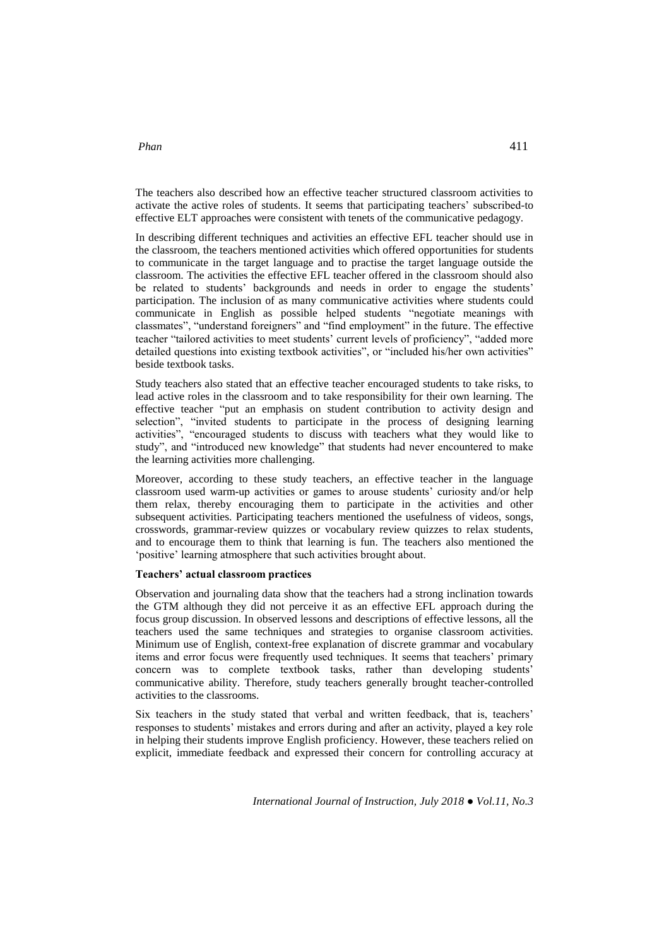The teachers also described how an effective teacher structured classroom activities to activate the active roles of students. It seems that participating teachers' subscribed-to effective ELT approaches were consistent with tenets of the communicative pedagogy.

In describing different techniques and activities an effective EFL teacher should use in the classroom, the teachers mentioned activities which offered opportunities for students to communicate in the target language and to practise the target language outside the classroom. The activities the effective EFL teacher offered in the classroom should also be related to students' backgrounds and needs in order to engage the students' participation. The inclusion of as many communicative activities where students could communicate in English as possible helped students "negotiate meanings with classmates", "understand foreigners" and "find employment" in the future. The effective teacher "tailored activities to meet students' current levels of proficiency", "added more detailed questions into existing textbook activities", or "included his/her own activities" beside textbook tasks.

Study teachers also stated that an effective teacher encouraged students to take risks, to lead active roles in the classroom and to take responsibility for their own learning. The effective teacher "put an emphasis on student contribution to activity design and selection", "invited students to participate in the process of designing learning activities", "encouraged students to discuss with teachers what they would like to study", and "introduced new knowledge" that students had never encountered to make the learning activities more challenging.

Moreover, according to these study teachers, an effective teacher in the language classroom used warm-up activities or games to arouse students' curiosity and/or help them relax, thereby encouraging them to participate in the activities and other subsequent activities. Participating teachers mentioned the usefulness of videos, songs, crosswords, grammar-review quizzes or vocabulary review quizzes to relax students, and to encourage them to think that learning is fun. The teachers also mentioned the 'positive' learning atmosphere that such activities brought about.

### **Teachers' actual classroom practices**

Observation and journaling data show that the teachers had a strong inclination towards the GTM although they did not perceive it as an effective EFL approach during the focus group discussion. In observed lessons and descriptions of effective lessons, all the teachers used the same techniques and strategies to organise classroom activities. Minimum use of English, context-free explanation of discrete grammar and vocabulary items and error focus were frequently used techniques. It seems that teachers' primary concern was to complete textbook tasks, rather than developing students' communicative ability. Therefore, study teachers generally brought teacher-controlled activities to the classrooms.

Six teachers in the study stated that verbal and written feedback, that is, teachers' responses to students' mistakes and errors during and after an activity, played a key role in helping their students improve English proficiency. However, these teachers relied on explicit, immediate feedback and expressed their concern for controlling accuracy at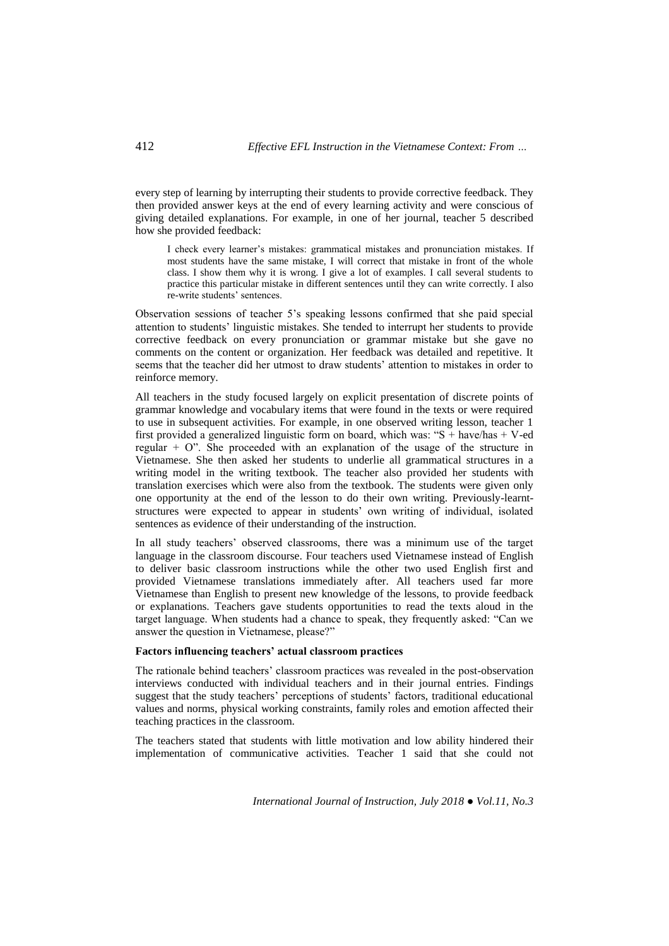every step of learning by interrupting their students to provide corrective feedback. They then provided answer keys at the end of every learning activity and were conscious of giving detailed explanations. For example, in one of her journal, teacher 5 described how she provided feedback:

I check every learner's mistakes: grammatical mistakes and pronunciation mistakes. If most students have the same mistake, I will correct that mistake in front of the whole class. I show them why it is wrong. I give a lot of examples. I call several students to practice this particular mistake in different sentences until they can write correctly. I also re-write students' sentences.

Observation sessions of teacher 5's speaking lessons confirmed that she paid special attention to students' linguistic mistakes. She tended to interrupt her students to provide corrective feedback on every pronunciation or grammar mistake but she gave no comments on the content or organization. Her feedback was detailed and repetitive. It seems that the teacher did her utmost to draw students' attention to mistakes in order to reinforce memory.

All teachers in the study focused largely on explicit presentation of discrete points of grammar knowledge and vocabulary items that were found in the texts or were required to use in subsequent activities. For example, in one observed writing lesson, teacher 1 first provided a generalized linguistic form on board, which was: "S + have/has + V-ed regular + O". She proceeded with an explanation of the usage of the structure in Vietnamese. She then asked her students to underlie all grammatical structures in a writing model in the writing textbook. The teacher also provided her students with translation exercises which were also from the textbook. The students were given only one opportunity at the end of the lesson to do their own writing. Previously-learntstructures were expected to appear in students' own writing of individual, isolated sentences as evidence of their understanding of the instruction.

In all study teachers' observed classrooms, there was a minimum use of the target language in the classroom discourse. Four teachers used Vietnamese instead of English to deliver basic classroom instructions while the other two used English first and provided Vietnamese translations immediately after. All teachers used far more Vietnamese than English to present new knowledge of the lessons, to provide feedback or explanations. Teachers gave students opportunities to read the texts aloud in the target language. When students had a chance to speak, they frequently asked: "Can we answer the question in Vietnamese, please?"

### **Factors influencing teachers' actual classroom practices**

The rationale behind teachers' classroom practices was revealed in the post-observation interviews conducted with individual teachers and in their journal entries. Findings suggest that the study teachers' perceptions of students' factors, traditional educational values and norms, physical working constraints, family roles and emotion affected their teaching practices in the classroom.

The teachers stated that students with little motivation and low ability hindered their implementation of communicative activities. Teacher 1 said that she could not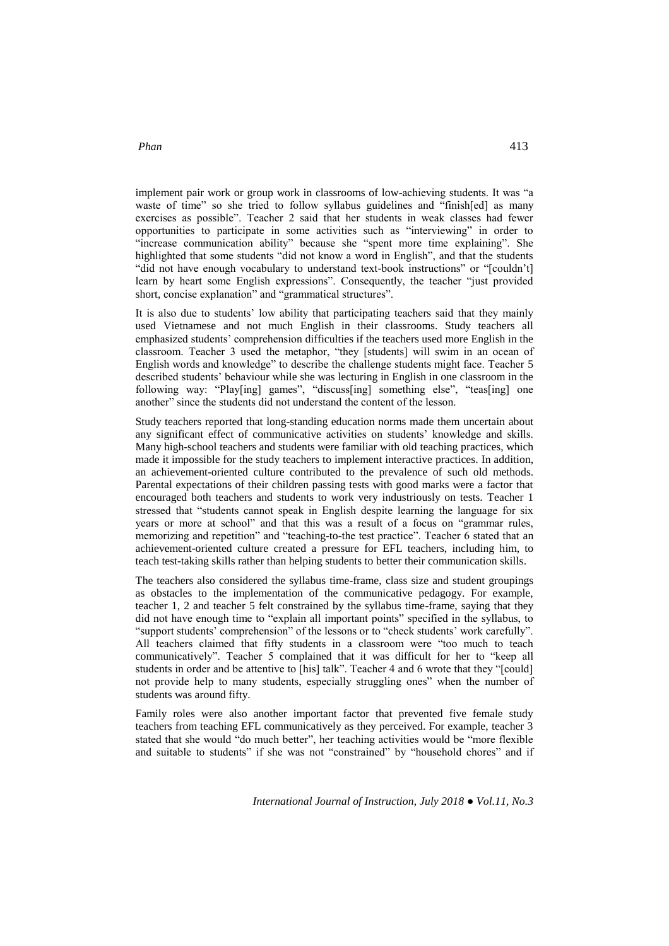implement pair work or group work in classrooms of low-achieving students. It was "a waste of time" so she tried to follow syllabus guidelines and "finish[ed] as many exercises as possible". Teacher 2 said that her students in weak classes had fewer opportunities to participate in some activities such as "interviewing" in order to "increase communication ability" because she "spent more time explaining". She highlighted that some students "did not know a word in English", and that the students "did not have enough vocabulary to understand text-book instructions" or "[couldn't] learn by heart some English expressions". Consequently, the teacher "just provided short, concise explanation" and "grammatical structures".

It is also due to students' low ability that participating teachers said that they mainly used Vietnamese and not much English in their classrooms. Study teachers all emphasized students' comprehension difficulties if the teachers used more English in the classroom. Teacher 3 used the metaphor, "they [students] will swim in an ocean of English words and knowledge" to describe the challenge students might face. Teacher 5 described students' behaviour while she was lecturing in English in one classroom in the following way: "Play[ing] games", "discuss[ing] something else", "teas[ing] one another" since the students did not understand the content of the lesson.

Study teachers reported that long-standing education norms made them uncertain about any significant effect of communicative activities on students' knowledge and skills. Many high-school teachers and students were familiar with old teaching practices, which made it impossible for the study teachers to implement interactive practices. In addition, an achievement-oriented culture contributed to the prevalence of such old methods. Parental expectations of their children passing tests with good marks were a factor that encouraged both teachers and students to work very industriously on tests. Teacher 1 stressed that "students cannot speak in English despite learning the language for six years or more at school" and that this was a result of a focus on "grammar rules, memorizing and repetition" and "teaching-to-the test practice". Teacher 6 stated that an achievement-oriented culture created a pressure for EFL teachers, including him, to teach test-taking skills rather than helping students to better their communication skills.

The teachers also considered the syllabus time-frame, class size and student groupings as obstacles to the implementation of the communicative pedagogy. For example, teacher 1, 2 and teacher 5 felt constrained by the syllabus time-frame, saying that they did not have enough time to "explain all important points" specified in the syllabus, to "support students' comprehension" of the lessons or to "check students' work carefully". All teachers claimed that fifty students in a classroom were "too much to teach communicatively". Teacher 5 complained that it was difficult for her to "keep all students in order and be attentive to [his] talk". Teacher 4 and 6 wrote that they "[could] not provide help to many students, especially struggling ones" when the number of students was around fifty.

Family roles were also another important factor that prevented five female study teachers from teaching EFL communicatively as they perceived. For example, teacher 3 stated that she would "do much better", her teaching activities would be "more flexible and suitable to students" if she was not "constrained" by "household chores" and if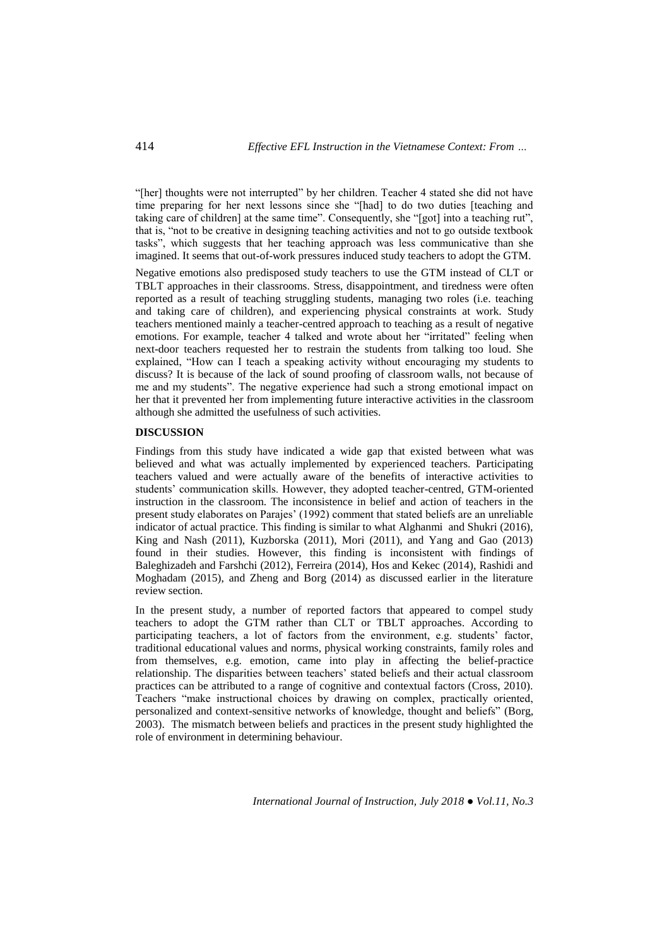"[her] thoughts were not interrupted" by her children. Teacher 4 stated she did not have time preparing for her next lessons since she "[had] to do two duties [teaching and taking care of children] at the same time". Consequently, she "[got] into a teaching rut", that is, "not to be creative in designing teaching activities and not to go outside textbook tasks", which suggests that her teaching approach was less communicative than she imagined. It seems that out-of-work pressures induced study teachers to adopt the GTM.

Negative emotions also predisposed study teachers to use the GTM instead of CLT or TBLT approaches in their classrooms. Stress, disappointment, and tiredness were often reported as a result of teaching struggling students, managing two roles (i.e. teaching and taking care of children), and experiencing physical constraints at work. Study teachers mentioned mainly a teacher-centred approach to teaching as a result of negative emotions. For example, teacher 4 talked and wrote about her "irritated" feeling when next-door teachers requested her to restrain the students from talking too loud. She explained, "How can I teach a speaking activity without encouraging my students to discuss? It is because of the lack of sound proofing of classroom walls, not because of me and my students". The negative experience had such a strong emotional impact on her that it prevented her from implementing future interactive activities in the classroom although she admitted the usefulness of such activities.

#### **DISCUSSION**

Findings from this study have indicated a wide gap that existed between what was believed and what was actually implemented by experienced teachers. Participating teachers valued and were actually aware of the benefits of interactive activities to students' communication skills. However, they adopted teacher-centred, GTM-oriented instruction in the classroom. The inconsistence in belief and action of teachers in the present study elaborates on Parajes' (1992) comment that stated beliefs are an unreliable indicator of actual practice. This finding is similar to what Alghanmi and Shukri (2016), King and Nash (2011), Kuzborska (2011), Mori (2011), and Yang and Gao (2013) found in their studies. However, this finding is inconsistent with findings of Baleghizadeh and Farshchi (2012), Ferreira (2014), Hos and Kekec (2014), Rashidi and Moghadam (2015), and Zheng and Borg (2014) as discussed earlier in the literature review section.

In the present study, a number of reported factors that appeared to compel study teachers to adopt the GTM rather than CLT or TBLT approaches. According to participating teachers, a lot of factors from the environment, e.g. students' factor, traditional educational values and norms, physical working constraints, family roles and from themselves, e.g. emotion, came into play in affecting the belief-practice relationship. The disparities between teachers' stated beliefs and their actual classroom practices can be attributed to a range of cognitive and contextual factors (Cross, 2010). Teachers "make instructional choices by drawing on complex, practically oriented, personalized and context-sensitive networks of knowledge, thought and beliefs" (Borg, 2003). The mismatch between beliefs and practices in the present study highlighted the role of environment in determining behaviour.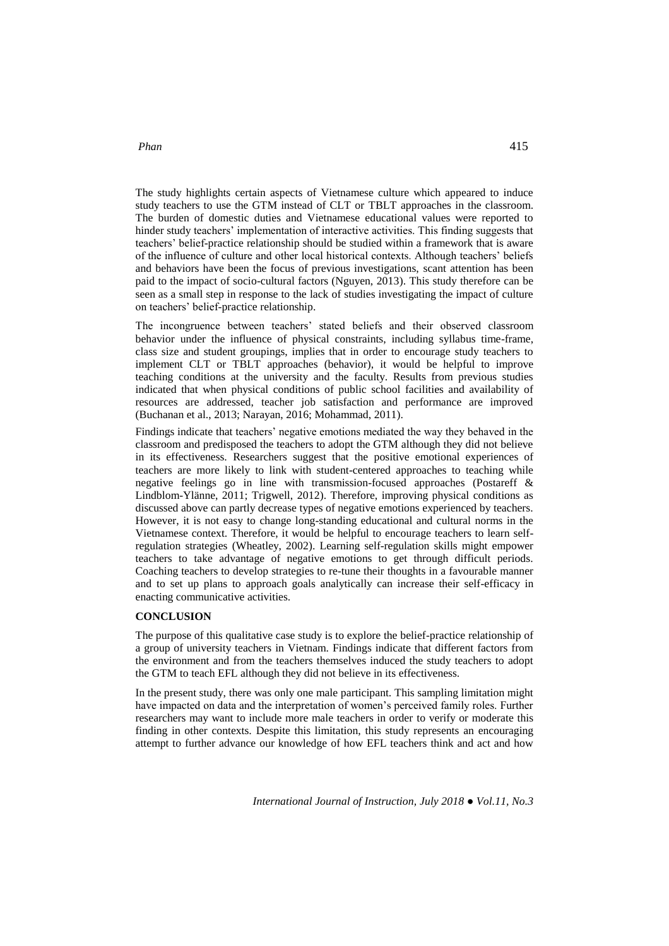The study highlights certain aspects of Vietnamese culture which appeared to induce study teachers to use the GTM instead of CLT or TBLT approaches in the classroom. The burden of domestic duties and Vietnamese educational values were reported to hinder study teachers' implementation of interactive activities. This finding suggests that teachers' belief-practice relationship should be studied within a framework that is aware of the influence of culture and other local historical contexts. Although teachers' beliefs and behaviors have been the focus of previous investigations, scant attention has been paid to the impact of socio-cultural factors (Nguyen, 2013). This study therefore can be seen as a small step in response to the lack of studies investigating the impact of culture on teachers' belief-practice relationship.

The incongruence between teachers' stated beliefs and their observed classroom behavior under the influence of physical constraints, including syllabus time-frame, class size and student groupings, implies that in order to encourage study teachers to implement CLT or TBLT approaches (behavior), it would be helpful to improve teaching conditions at the university and the faculty. Results from previous studies indicated that when physical conditions of public school facilities and availability of resources are addressed, teacher job satisfaction and performance are improved (Buchanan et al., 2013; Narayan, 2016; Mohammad, 2011).

Findings indicate that teachers' negative emotions mediated the way they behaved in the classroom and predisposed the teachers to adopt the GTM although they did not believe in its effectiveness. Researchers suggest that the positive emotional experiences of teachers are more likely to link with student-centered approaches to teaching while negative feelings go in line with transmission-focused approaches (Postareff & Lindblom-Ylänne, 2011; Trigwell, 2012). Therefore, improving physical conditions as discussed above can partly decrease types of negative emotions experienced by teachers. However, it is not easy to change long-standing educational and cultural norms in the Vietnamese context. Therefore, it would be helpful to encourage teachers to learn selfregulation strategies (Wheatley, 2002). Learning self-regulation skills might empower teachers to take advantage of negative emotions to get through difficult periods. Coaching teachers to develop strategies to re-tune their thoughts in a favourable manner and to set up plans to approach goals analytically can increase their self-efficacy in enacting communicative activities.

## **CONCLUSION**

The purpose of this qualitative case study is to explore the belief-practice relationship of a group of university teachers in Vietnam. Findings indicate that different factors from the environment and from the teachers themselves induced the study teachers to adopt the GTM to teach EFL although they did not believe in its effectiveness.

In the present study, there was only one male participant. This sampling limitation might have impacted on data and the interpretation of women's perceived family roles. Further researchers may want to include more male teachers in order to verify or moderate this finding in other contexts. Despite this limitation, this study represents an encouraging attempt to further advance our knowledge of how EFL teachers think and act and how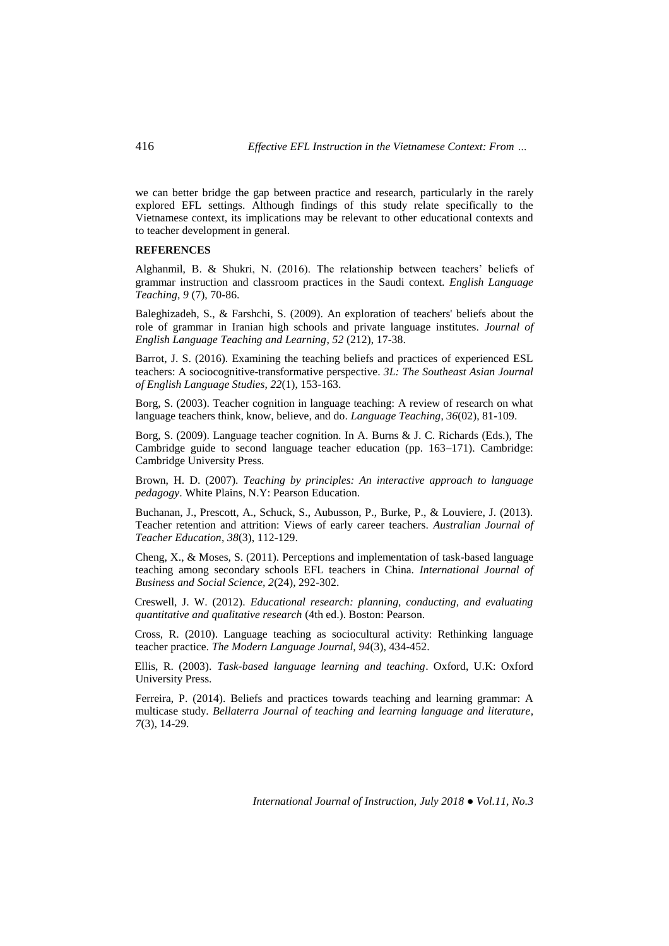we can better bridge the gap between practice and research, particularly in the rarely explored EFL settings. Although findings of this study relate specifically to the Vietnamese context, its implications may be relevant to other educational contexts and to teacher development in general.

#### **REFERENCES**

Alghanmil, B. & Shukri, N. (2016). The relationship between teachers' beliefs of grammar instruction and classroom practices in the Saudi context. *English Language Teaching*, *9* (7), 70-86.

Baleghizadeh, S., & Farshchi, S. (2009). An exploration of teachers' beliefs about the role of grammar in Iranian high schools and private language institutes. *Journal of English Language Teaching and Learning*, *52* (212), 17-38.

Barrot, J. S. (2016). Examining the teaching beliefs and practices of experienced ESL teachers: A sociocognitive-transformative perspective. *3L: The Southeast Asian Journal of English Language Studies*, *22*(1), 153-163.

Borg, S. (2003). Teacher cognition in language teaching: A review of research on what language teachers think, know, believe, and do. *Language Teaching*, *36*(02), 81-109.

Borg, S. (2009). Language teacher cognition. In A. Burns & J. C. Richards (Eds.), The Cambridge guide to second language teacher education (pp. 163–171). Cambridge: Cambridge University Press.

Brown, H. D. (2007). *Teaching by principles: An interactive approach to language pedagogy*. White Plains, N.Y: Pearson Education.

Buchanan, J., Prescott, A., Schuck, S., Aubusson, P., Burke, P., & Louviere, J. (2013). Teacher retention and attrition: Views of early career teachers. *Australian Journal of Teacher Education*, *38*(3), 112-129.

Cheng, X., & Moses, S. (2011). Perceptions and implementation of task-based language teaching among secondary schools EFL teachers in China. *International Journal of Business and Social Science, 2*(24), 292-302.

Creswell, J. W. (2012). *Educational research: planning, conducting, and evaluating quantitative and qualitative research* (4th ed.). Boston: Pearson.

Cross, R. (2010). Language teaching as sociocultural activity: Rethinking language teacher practice. *The Modern Language Journal, 94*(3), 434-452.

Ellis, R. (2003). *Task-based language learning and teaching*. Oxford, U.K: Oxford University Press.

Ferreira, P. (2014). Beliefs and practices towards teaching and learning grammar: A multicase study. *Bellaterra Journal of teaching and learning language and literature*, *7*(3), 14-29.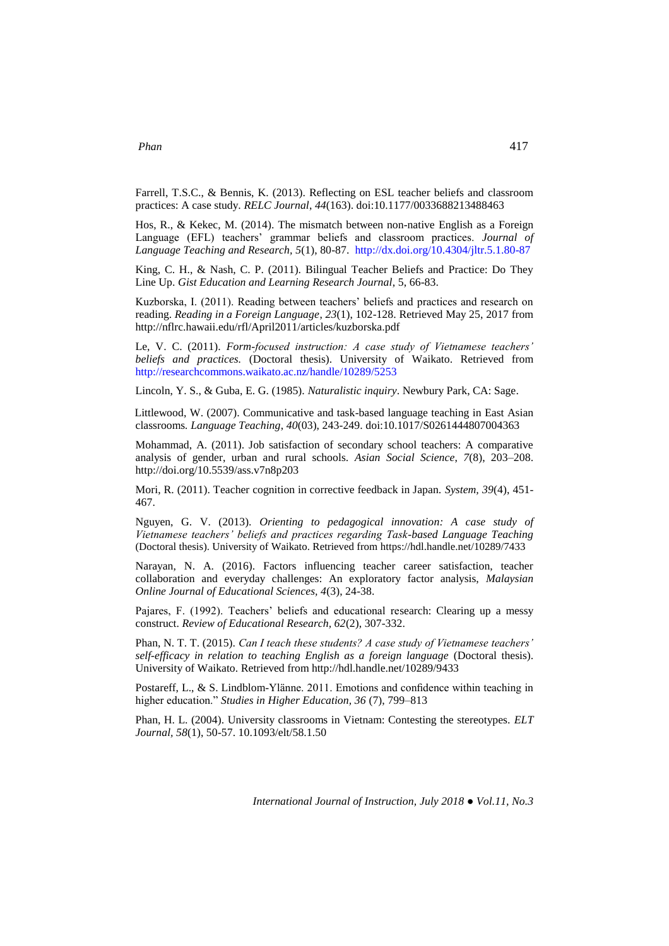Farrell, T.S.C., & Bennis, K. (2013). Reflecting on ESL teacher beliefs and classroom practices: A case study. *RELC Journal*, *44*(163). doi:10.1177/0033688213488463

Hos, R., & Kekec, M. (2014). The mismatch between non-native English as a Foreign Language (EFL) teachers' grammar beliefs and classroom practices. *Journal of Language Teaching and Research, 5*(1), 80-87.<http://dx.doi.org/10.4304/jltr.5.1.80-87>

King, C. H., & Nash, C. P. (2011). Bilingual Teacher Beliefs and Practice: Do They Line Up. *Gist Education and Learning Research Journal*, 5, 66-83.

Kuzborska, I. (2011). Reading between teachers' beliefs and practices and research on reading. *Reading in a Foreign Language*, *23*(1), 102-128. Retrieved May 25, 2017 from http://nflrc.hawaii.edu/rfl/April2011/articles/kuzborska.pdf

Le, V. C. (2011). *Form-focused instruction: A case study of Vietnamese teachers' beliefs and practices.* (Doctoral thesis). University of Waikato. Retrieved from <http://researchcommons.waikato.ac.nz/handle/10289/5253>

Lincoln, Y. S., & Guba, E. G. (1985). *Naturalistic inquiry*. Newbury Park, CA: Sage.

Littlewood, W. (2007). Communicative and task-based language teaching in East Asian classrooms*. Language Teaching*, *40*(03), 243-249. doi:10.1017/S0261444807004363

Mohammad, A. (2011). Job satisfaction of secondary school teachers: A comparative analysis of gender, urban and rural schools. *Asian Social Science*, *7*(8), 203–208. http://doi.org/10.5539/ass.v7n8p203

Mori, R. (2011). Teacher cognition in corrective feedback in Japan. *System, 39*(4), 451- 467.

Nguyen, G. V. (2013). *Orienting to pedagogical innovation: A case study of Vietnamese teachers' beliefs and practices regarding Task-based Language Teaching* (Doctoral thesis). University of Waikato. Retrieved from<https://hdl.handle.net/10289/7433>

Narayan, N. A. (2016). Factors influencing teacher career satisfaction, teacher collaboration and everyday challenges: An exploratory factor analysis, *Malaysian Online Journal of Educational Sciences, 4*(3), 24-38.

Pajares, F. (1992). Teachers' beliefs and educational research: Clearing up a messy construct. *Review of Educational Research, 62*(2), 307-332.

Phan, N. T. T. (2015). *Can I teach these students? A case study of Vietnamese teachers' self-efficacy in relation to teaching English as a foreign language* (Doctoral thesis). University of Waikato. Retrieved from http://hdl.handle.net/10289/9433

Postareff, L., & S. Lindblom-Ylänne. 2011. Emotions and confidence within teaching in higher education." *Studies in Higher Education, 36* (7), 799–813

Phan, H. L. (2004). University classrooms in Vietnam: Contesting the stereotypes. *ELT Journal, 58*(1), 50-57. 10.1093/elt/58.1.50